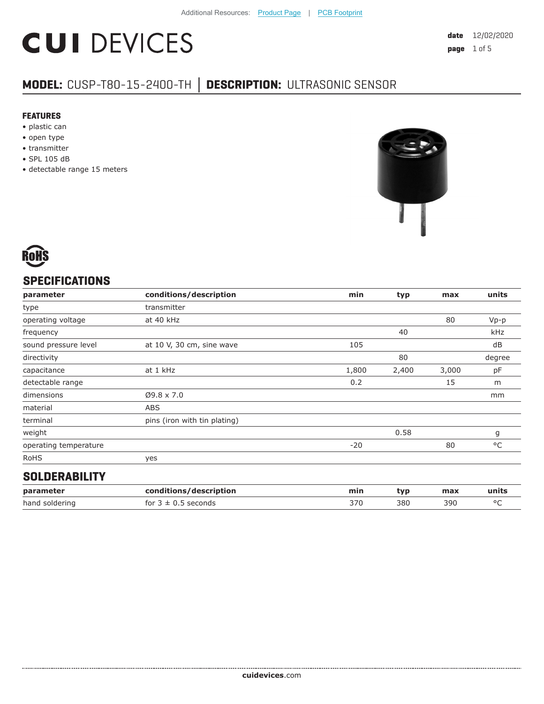# **CUI DEVICES**

### **MODEL:** CUSP-T80-15-2400-TH **│ DESCRIPTION:** ULTRASONIC SENSOR

#### **FEATURES**

- plastic can
- open type
- transmitter
- SPL 105 dB
- detectable range 15 meters





#### **SPECIFICATIONS**

| parameter             | conditions/description       | min   | typ   | max   | units  |
|-----------------------|------------------------------|-------|-------|-------|--------|
| type                  | transmitter                  |       |       |       |        |
| operating voltage     | at 40 kHz                    |       |       | 80    | $Vp-p$ |
| frequency             |                              |       | 40    |       | kHz    |
| sound pressure level  | at 10 V, 30 cm, sine wave    | 105   |       |       | dB     |
| directivity           |                              |       | 80    |       | degree |
| capacitance           | at 1 kHz                     | 1,800 | 2,400 | 3,000 | pF     |
| detectable range      |                              | 0.2   |       | 15    | m      |
| dimensions            | $Ø9.8 \times 7.0$            |       |       |       | mm     |
| material              | <b>ABS</b>                   |       |       |       |        |
| terminal              | pins (iron with tin plating) |       |       |       |        |
| weight                |                              |       | 0.58  |       | g      |
| operating temperature |                              | $-20$ |       | 80    | °C     |
| <b>RoHS</b>           | yes                          |       |       |       |        |
|                       |                              |       |       |       |        |

#### **SOLDERABILITY**

| parameter      | conditions/description  | min | tvp | max | units   |
|----------------|-------------------------|-----|-----|-----|---------|
| hand soldering | for $3 \pm 0.5$ seconds | 370 | 380 | 390 | $\circ$ |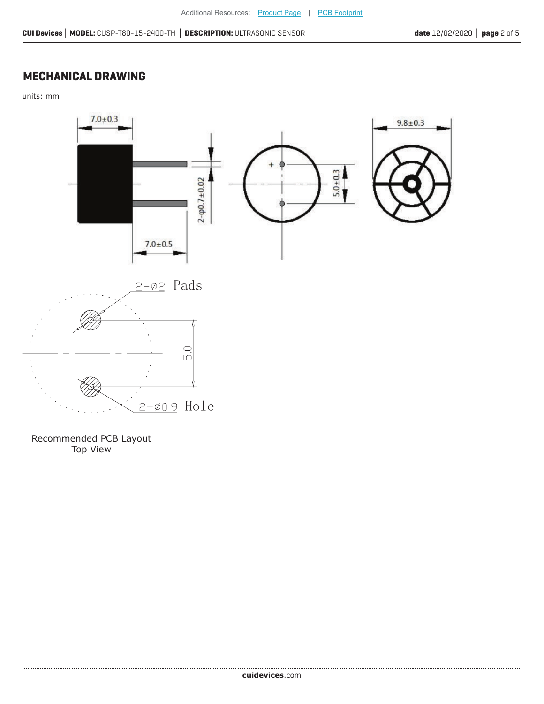#### **MECHANICAL DRAWING**

units: mm



Recommended PCB Layout Top View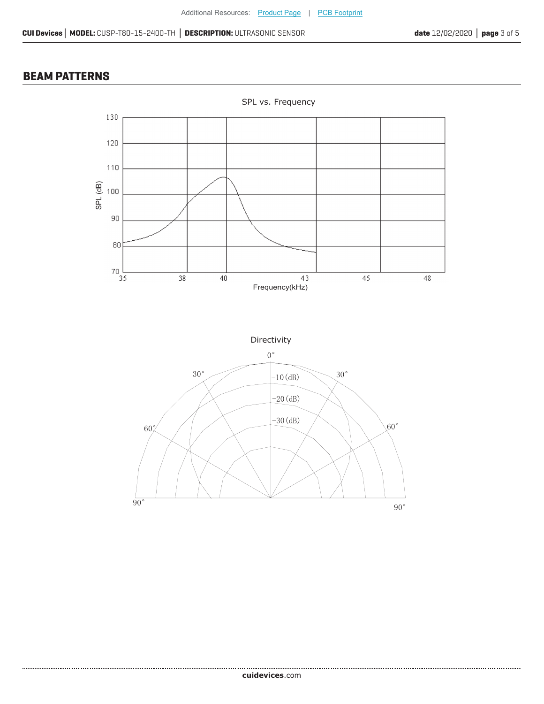#### **BEAM PATTERNS**

.....................





**cui[devices](https://www.cuidevices.com/track?actionLabel=Datasheet-ClickThrough-HomePage&label=CUSP-T80-15-2400-TH.pdf&path=/)**.com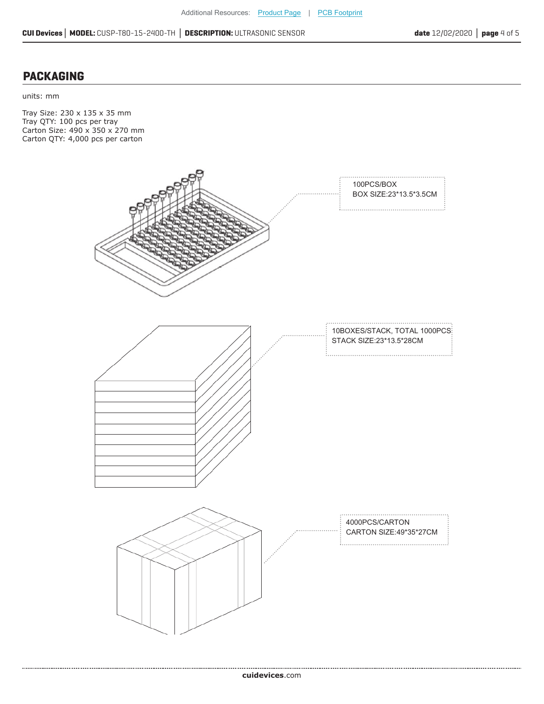#### **PACKAGING**

units: mm

Tray Size: 230 x 135 x 35 mm Tray QTY: 100 pcs per tray Carton Size: 490 x 350 x 270 mm Carton QTY: 4,000 pcs per carton